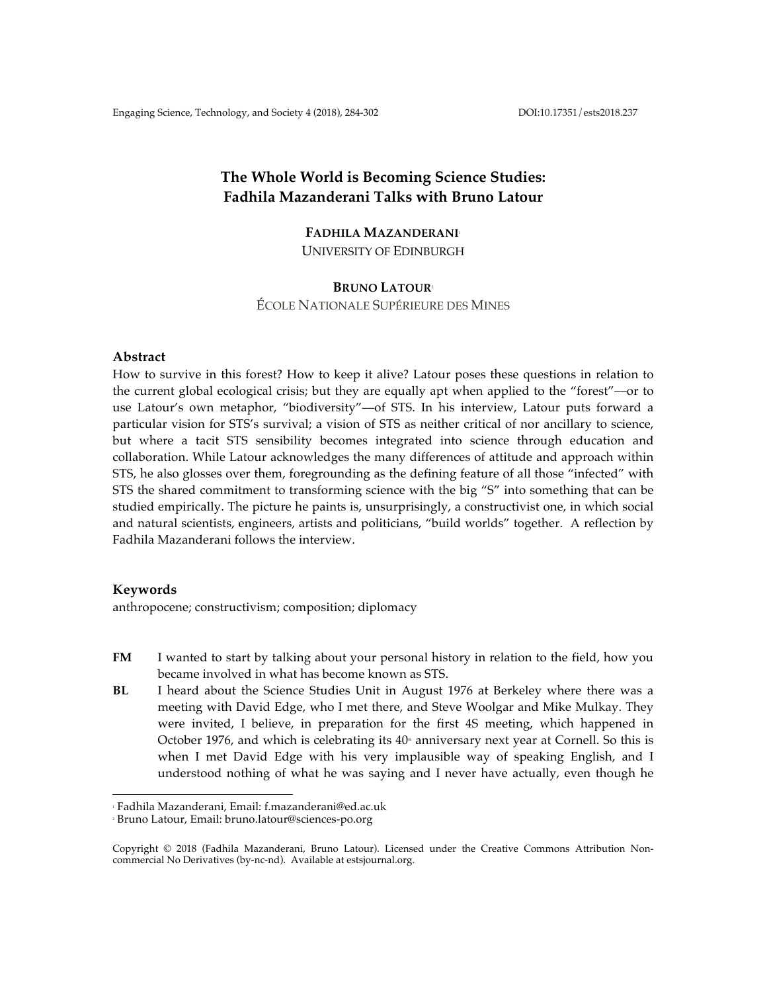# **The Whole World is Becoming Science Studies: Fadhila Mazanderani Talks with Bruno Latour**

# **FADHILA MAZANDERANI**<sup>1</sup> UNIVERSITY OF EDINBURGH

# **BRUNO LATOUR**<sup>2</sup>

ÉCOLE NATIONALE SUPÉRIEURE DES MINES

# **Abstract**

How to survive in this forest? How to keep it alive? Latour poses these questions in relation to the current global ecological crisis; but they are equally apt when applied to the "forest"––or to use Latour's own metaphor, "biodiversity"––of STS. In his interview, Latour puts forward a particular vision for STS's survival; a vision of STS as neither critical of nor ancillary to science, but where a tacit STS sensibility becomes integrated into science through education and collaboration. While Latour acknowledges the many differences of attitude and approach within STS, he also glosses over them, foregrounding as the defining feature of all those "infected" with STS the shared commitment to transforming science with the big "S" into something that can be studied empirically. The picture he paints is, unsurprisingly, a constructivist one, in which social and natural scientists, engineers, artists and politicians, "build worlds" together. A reflection by Fadhila Mazanderani follows the interview.

# **Keywords**

anthropocene; constructivism; composition; diplomacy

- **FM** I wanted to start by talking about your personal history in relation to the field, how you became involved in what has become known as STS.
- **BL** I heard about the Science Studies Unit in August 1976 at Berkeley where there was a meeting with David Edge, who I met there, and Steve Woolgar and Mike Mulkay. They were invited, I believe, in preparation for the first 4S meeting, which happened in October 1976, and which is celebrating its  $40<sup>th</sup>$  anniversary next year at Cornell. So this is when I met David Edge with his very implausible way of speaking English, and I understood nothing of what he was saying and I never have actually, even though he

 

<sup>1</sup> Fadhila Mazanderani, Email: f.mazanderani@ed.ac.uk

<sup>2</sup> Bruno Latour, Email: bruno.latour@sciences-po.org

Copyright © 2018 (Fadhila Mazanderani, Bruno Latour). Licensed under the Creative Commons Attribution Noncommercial No Derivatives (by-nc-nd). Available at estsjournal.org.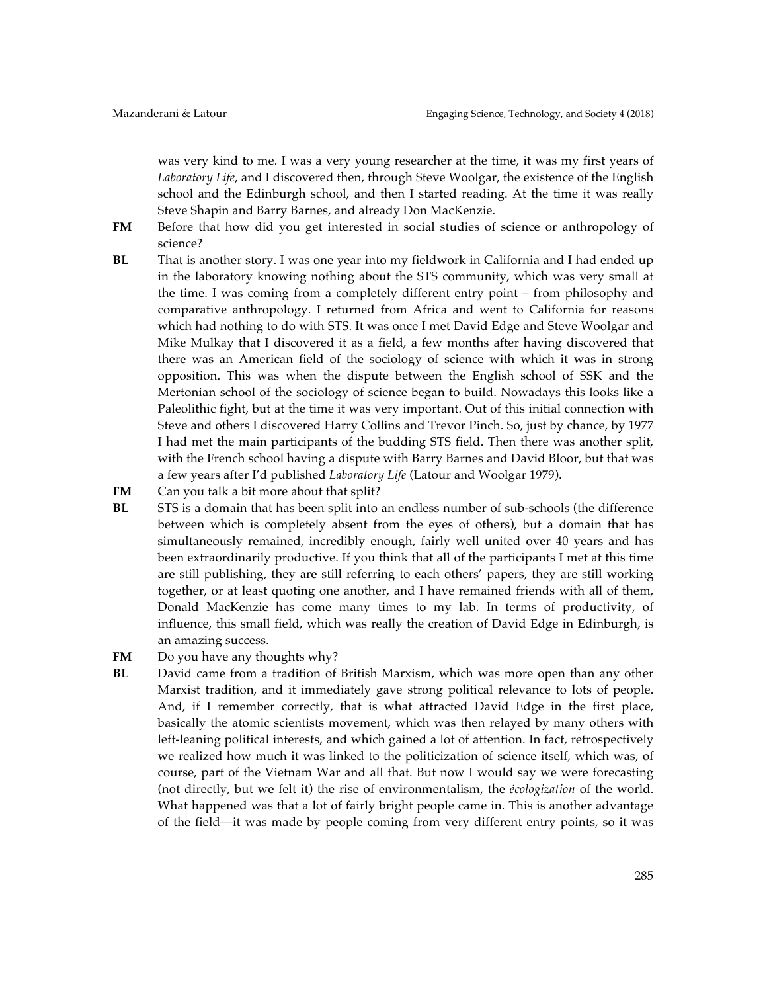was very kind to me. I was a very young researcher at the time, it was my first years of *Laboratory Life*, and I discovered then, through Steve Woolgar, the existence of the English school and the Edinburgh school, and then I started reading. At the time it was really Steve Shapin and Barry Barnes, and already Don MacKenzie.

- FM Before that how did you get interested in social studies of science or anthropology of science?
- **BL** That is another story. I was one year into my fieldwork in California and I had ended up in the laboratory knowing nothing about the STS community, which was very small at the time. I was coming from a completely different entry point – from philosophy and comparative anthropology. I returned from Africa and went to California for reasons which had nothing to do with STS. It was once I met David Edge and Steve Woolgar and Mike Mulkay that I discovered it as a field, a few months after having discovered that there was an American field of the sociology of science with which it was in strong opposition. This was when the dispute between the English school of SSK and the Mertonian school of the sociology of science began to build. Nowadays this looks like a Paleolithic fight, but at the time it was very important. Out of this initial connection with Steve and others I discovered Harry Collins and Trevor Pinch. So, just by chance, by 1977 I had met the main participants of the budding STS field. Then there was another split, with the French school having a dispute with Barry Barnes and David Bloor, but that was a few years after I'd published *Laboratory Life* (Latour and Woolgar 1979).
- **FM** Can you talk a bit more about that split?
- **BL** STS is a domain that has been split into an endless number of sub-schools (the difference between which is completely absent from the eyes of others), but a domain that has simultaneously remained, incredibly enough, fairly well united over 40 years and has been extraordinarily productive. If you think that all of the participants I met at this time are still publishing, they are still referring to each others' papers, they are still working together, or at least quoting one another, and I have remained friends with all of them, Donald MacKenzie has come many times to my lab. In terms of productivity, of influence, this small field, which was really the creation of David Edge in Edinburgh, is an amazing success.
- **FM** Do you have any thoughts why?
- **BL** David came from a tradition of British Marxism, which was more open than any other Marxist tradition, and it immediately gave strong political relevance to lots of people. And, if I remember correctly, that is what attracted David Edge in the first place, basically the atomic scientists movement, which was then relayed by many others with left-leaning political interests, and which gained a lot of attention. In fact, retrospectively we realized how much it was linked to the politicization of science itself, which was, of course, part of the Vietnam War and all that. But now I would say we were forecasting (not directly, but we felt it) the rise of environmentalism, the *écologization* of the world. What happened was that a lot of fairly bright people came in. This is another advantage of the field––it was made by people coming from very different entry points, so it was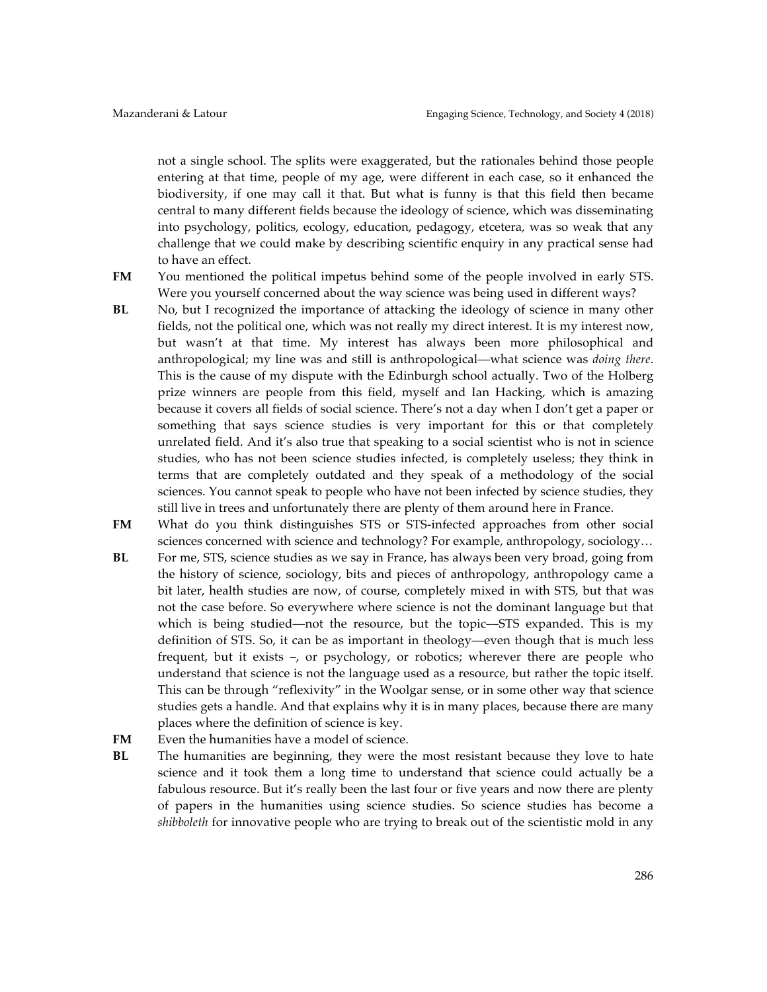not a single school. The splits were exaggerated, but the rationales behind those people entering at that time, people of my age, were different in each case, so it enhanced the biodiversity, if one may call it that. But what is funny is that this field then became central to many different fields because the ideology of science, which was disseminating into psychology, politics, ecology, education, pedagogy, etcetera, was so weak that any challenge that we could make by describing scientific enquiry in any practical sense had to have an effect.

**FM** You mentioned the political impetus behind some of the people involved in early STS. Were you yourself concerned about the way science was being used in different ways?

- **BL** No, but I recognized the importance of attacking the ideology of science in many other fields, not the political one, which was not really my direct interest. It is my interest now, but wasn't at that time. My interest has always been more philosophical and anthropological; my line was and still is anthropological––what science was *doing there*. This is the cause of my dispute with the Edinburgh school actually. Two of the Holberg prize winners are people from this field, myself and Ian Hacking, which is amazing because it covers all fields of social science. There's not a day when I don't get a paper or something that says science studies is very important for this or that completely unrelated field. And it's also true that speaking to a social scientist who is not in science studies, who has not been science studies infected, is completely useless; they think in terms that are completely outdated and they speak of a methodology of the social sciences. You cannot speak to people who have not been infected by science studies, they still live in trees and unfortunately there are plenty of them around here in France.
- **FM** What do you think distinguishes STS or STS-infected approaches from other social sciences concerned with science and technology? For example, anthropology, sociology...
- **BL** For me, STS, science studies as we say in France, has always been very broad, going from the history of science, sociology, bits and pieces of anthropology, anthropology came a bit later, health studies are now, of course, completely mixed in with STS, but that was not the case before. So everywhere where science is not the dominant language but that which is being studied—not the resource, but the topic—STS expanded. This is my definition of STS. So, it can be as important in theology––even though that is much less frequent, but it exists –, or psychology, or robotics; wherever there are people who understand that science is not the language used as a resource, but rather the topic itself. This can be through "reflexivity" in the Woolgar sense, or in some other way that science studies gets a handle. And that explains why it is in many places, because there are many places where the definition of science is key.
- **FM** Even the humanities have a model of science.
- **BL** The humanities are beginning, they were the most resistant because they love to hate science and it took them a long time to understand that science could actually be a fabulous resource. But it's really been the last four or five years and now there are plenty of papers in the humanities using science studies. So science studies has become a *shibboleth* for innovative people who are trying to break out of the scientistic mold in any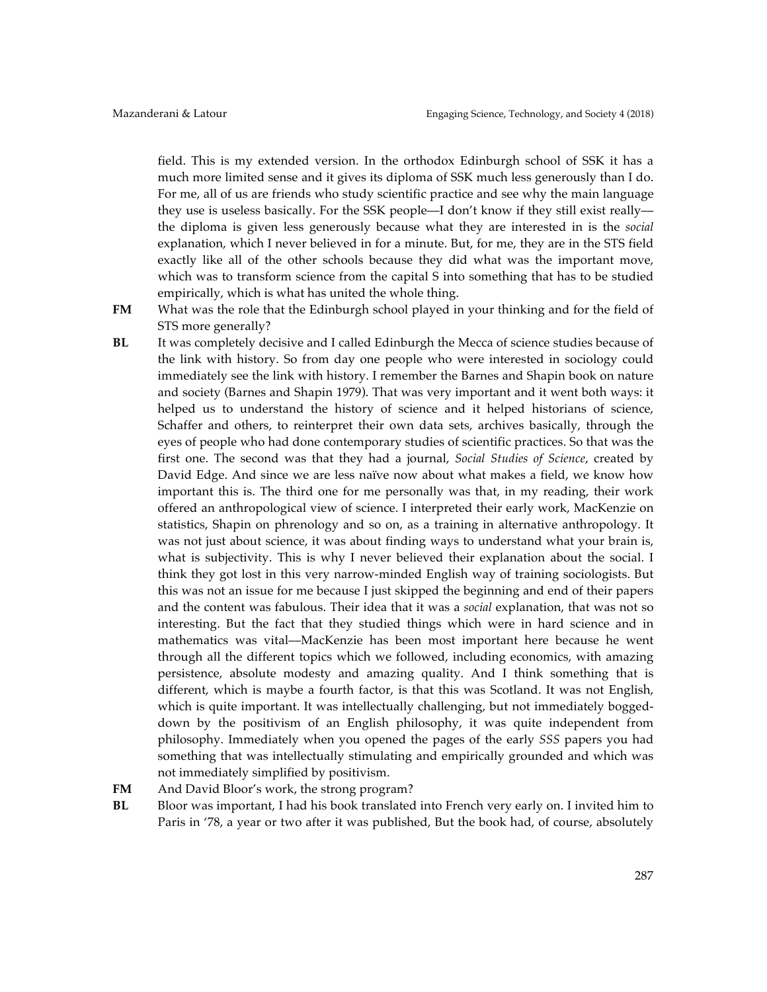field. This is my extended version. In the orthodox Edinburgh school of SSK it has a much more limited sense and it gives its diploma of SSK much less generously than I do. For me, all of us are friends who study scientific practice and see why the main language they use is useless basically. For the SSK people—I don't know if they still exist really the diploma is given less generously because what they are interested in is the *social*  explanation, which I never believed in for a minute. But, for me, they are in the STS field exactly like all of the other schools because they did what was the important move, which was to transform science from the capital S into something that has to be studied empirically, which is what has united the whole thing.

**FM** What was the role that the Edinburgh school played in your thinking and for the field of STS more generally?

- **BL** It was completely decisive and I called Edinburgh the Mecca of science studies because of the link with history. So from day one people who were interested in sociology could immediately see the link with history. I remember the Barnes and Shapin book on nature and society (Barnes and Shapin 1979). That was very important and it went both ways: it helped us to understand the history of science and it helped historians of science, Schaffer and others, to reinterpret their own data sets, archives basically, through the eyes of people who had done contemporary studies of scientific practices. So that was the first one. The second was that they had a journal, *Social Studies of Science*, created by David Edge. And since we are less naïve now about what makes a field, we know how important this is. The third one for me personally was that, in my reading, their work offered an anthropological view of science. I interpreted their early work, MacKenzie on statistics, Shapin on phrenology and so on, as a training in alternative anthropology. It was not just about science, it was about finding ways to understand what your brain is, what is subjectivity. This is why I never believed their explanation about the social. I think they got lost in this very narrow-minded English way of training sociologists. But this was not an issue for me because I just skipped the beginning and end of their papers and the content was fabulous. Their idea that it was a *social* explanation, that was not so interesting. But the fact that they studied things which were in hard science and in mathematics was vital––MacKenzie has been most important here because he went through all the different topics which we followed, including economics, with amazing persistence, absolute modesty and amazing quality. And I think something that is different, which is maybe a fourth factor, is that this was Scotland. It was not English, which is quite important. It was intellectually challenging, but not immediately boggeddown by the positivism of an English philosophy, it was quite independent from philosophy. Immediately when you opened the pages of the early *SSS* papers you had something that was intellectually stimulating and empirically grounded and which was not immediately simplified by positivism.
- **FM** And David Bloor's work, the strong program?
- **BL** Bloor was important, I had his book translated into French very early on. I invited him to Paris in '78, a year or two after it was published, But the book had, of course, absolutely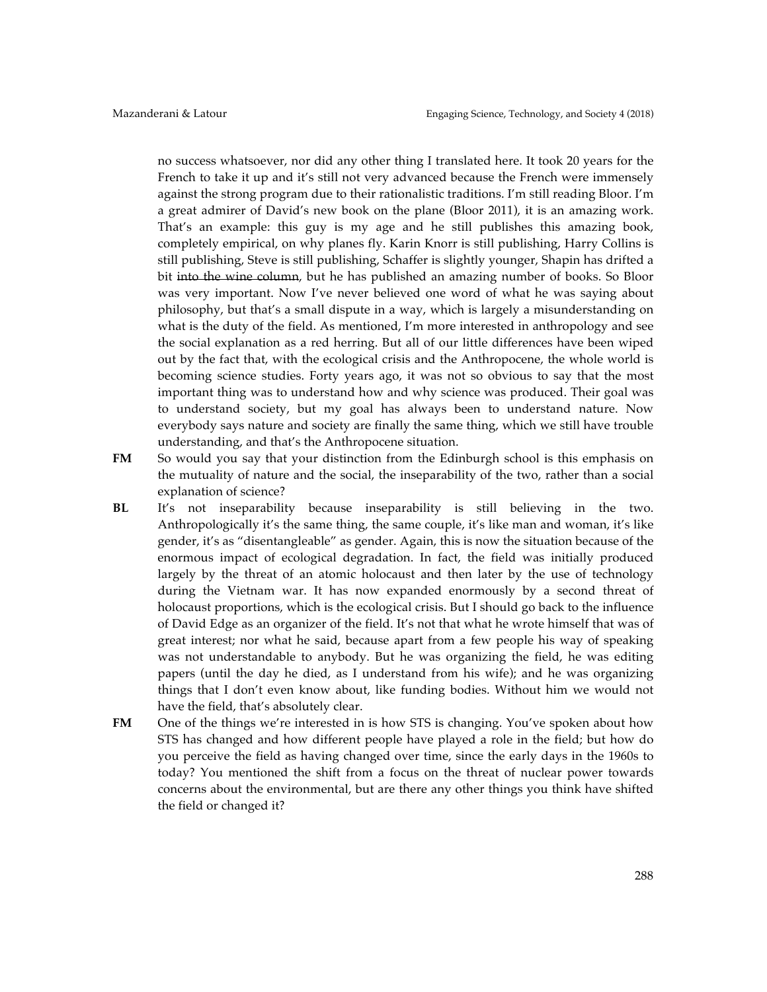no success whatsoever, nor did any other thing I translated here. It took 20 years for the French to take it up and it's still not very advanced because the French were immensely against the strong program due to their rationalistic traditions. I'm still reading Bloor. I'm a great admirer of David's new book on the plane (Bloor 2011), it is an amazing work. That's an example: this guy is my age and he still publishes this amazing book, completely empirical, on why planes fly. Karin Knorr is still publishing, Harry Collins is still publishing, Steve is still publishing, Schaffer is slightly younger, Shapin has drifted a bit into the wine column, but he has published an amazing number of books. So Bloor was very important. Now I've never believed one word of what he was saying about philosophy, but that's a small dispute in a way, which is largely a misunderstanding on what is the duty of the field. As mentioned, I'm more interested in anthropology and see the social explanation as a red herring. But all of our little differences have been wiped out by the fact that, with the ecological crisis and the Anthropocene, the whole world is becoming science studies. Forty years ago, it was not so obvious to say that the most important thing was to understand how and why science was produced. Their goal was to understand society, but my goal has always been to understand nature. Now everybody says nature and society are finally the same thing, which we still have trouble understanding, and that's the Anthropocene situation.

- FM So would you say that your distinction from the Edinburgh school is this emphasis on the mutuality of nature and the social, the inseparability of the two, rather than a social explanation of science?
- **BL** It's not inseparability because inseparability is still believing in the two. Anthropologically it's the same thing, the same couple, it's like man and woman, it's like gender, it's as "disentangleable" as gender. Again, this is now the situation because of the enormous impact of ecological degradation. In fact, the field was initially produced largely by the threat of an atomic holocaust and then later by the use of technology during the Vietnam war. It has now expanded enormously by a second threat of holocaust proportions, which is the ecological crisis. But I should go back to the influence of David Edge as an organizer of the field. It's not that what he wrote himself that was of great interest; nor what he said, because apart from a few people his way of speaking was not understandable to anybody. But he was organizing the field, he was editing papers (until the day he died, as I understand from his wife); and he was organizing things that I don't even know about, like funding bodies. Without him we would not have the field, that's absolutely clear.
- **FM** One of the things we're interested in is how STS is changing. You've spoken about how STS has changed and how different people have played a role in the field; but how do you perceive the field as having changed over time, since the early days in the 1960s to today? You mentioned the shift from a focus on the threat of nuclear power towards concerns about the environmental, but are there any other things you think have shifted the field or changed it?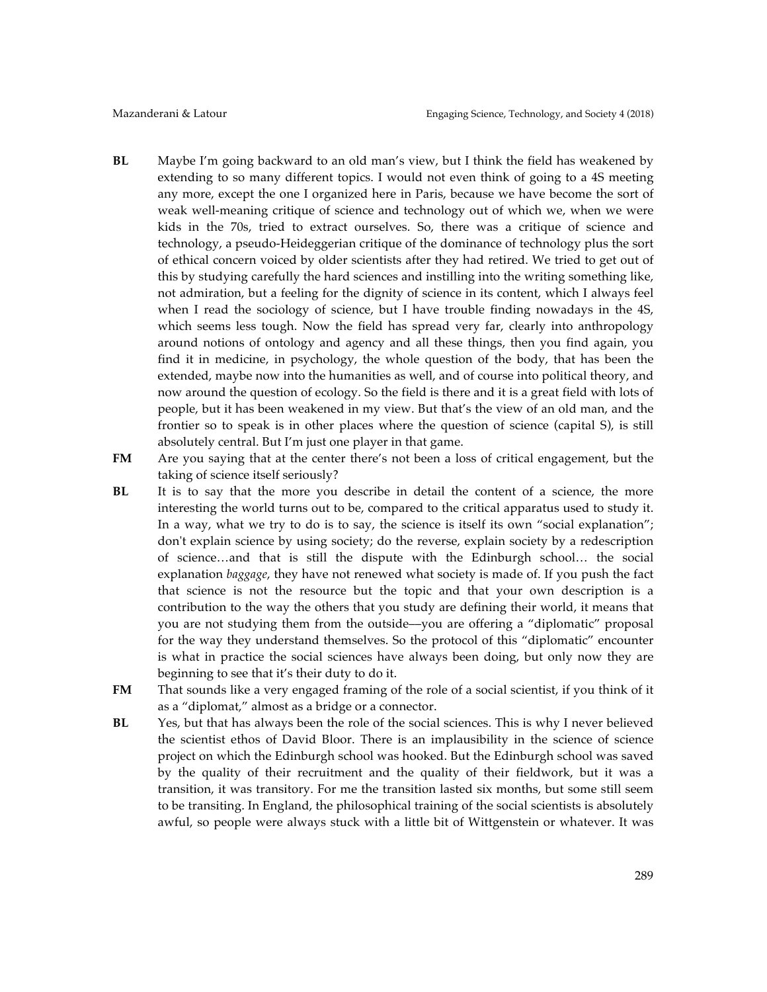- **BL** Maybe I'm going backward to an old man's view, but I think the field has weakened by extending to so many different topics. I would not even think of going to a 4S meeting any more, except the one I organized here in Paris, because we have become the sort of weak well-meaning critique of science and technology out of which we, when we were kids in the 70s, tried to extract ourselves. So, there was a critique of science and technology, a pseudo-Heideggerian critique of the dominance of technology plus the sort of ethical concern voiced by older scientists after they had retired. We tried to get out of this by studying carefully the hard sciences and instilling into the writing something like, not admiration, but a feeling for the dignity of science in its content, which I always feel when I read the sociology of science, but I have trouble finding nowadays in the 4S, which seems less tough. Now the field has spread very far, clearly into anthropology around notions of ontology and agency and all these things, then you find again, you find it in medicine, in psychology, the whole question of the body, that has been the extended, maybe now into the humanities as well, and of course into political theory, and now around the question of ecology. So the field is there and it is a great field with lots of people, but it has been weakened in my view. But that's the view of an old man, and the frontier so to speak is in other places where the question of science (capital S), is still absolutely central. But I'm just one player in that game.
- **FM** Are you saying that at the center there's not been a loss of critical engagement, but the taking of science itself seriously?
- **BL** It is to say that the more you describe in detail the content of a science, the more interesting the world turns out to be, compared to the critical apparatus used to study it. In a way, what we try to do is to say, the science is itself its own "social explanation"; don't explain science by using society; do the reverse, explain society by a redescription of science…and that is still the dispute with the Edinburgh school… the social explanation *baggage*, they have not renewed what society is made of. If you push the fact that science is not the resource but the topic and that your own description is a contribution to the way the others that you study are defining their world, it means that you are not studying them from the outside––you are offering a "diplomatic" proposal for the way they understand themselves. So the protocol of this "diplomatic" encounter is what in practice the social sciences have always been doing, but only now they are beginning to see that it's their duty to do it.
- **FM** That sounds like a very engaged framing of the role of a social scientist, if you think of it as a "diplomat," almost as a bridge or a connector.
- **BL** Yes, but that has always been the role of the social sciences. This is why I never believed the scientist ethos of David Bloor. There is an implausibility in the science of science project on which the Edinburgh school was hooked. But the Edinburgh school was saved by the quality of their recruitment and the quality of their fieldwork, but it was a transition, it was transitory. For me the transition lasted six months, but some still seem to be transiting. In England, the philosophical training of the social scientists is absolutely awful, so people were always stuck with a little bit of Wittgenstein or whatever. It was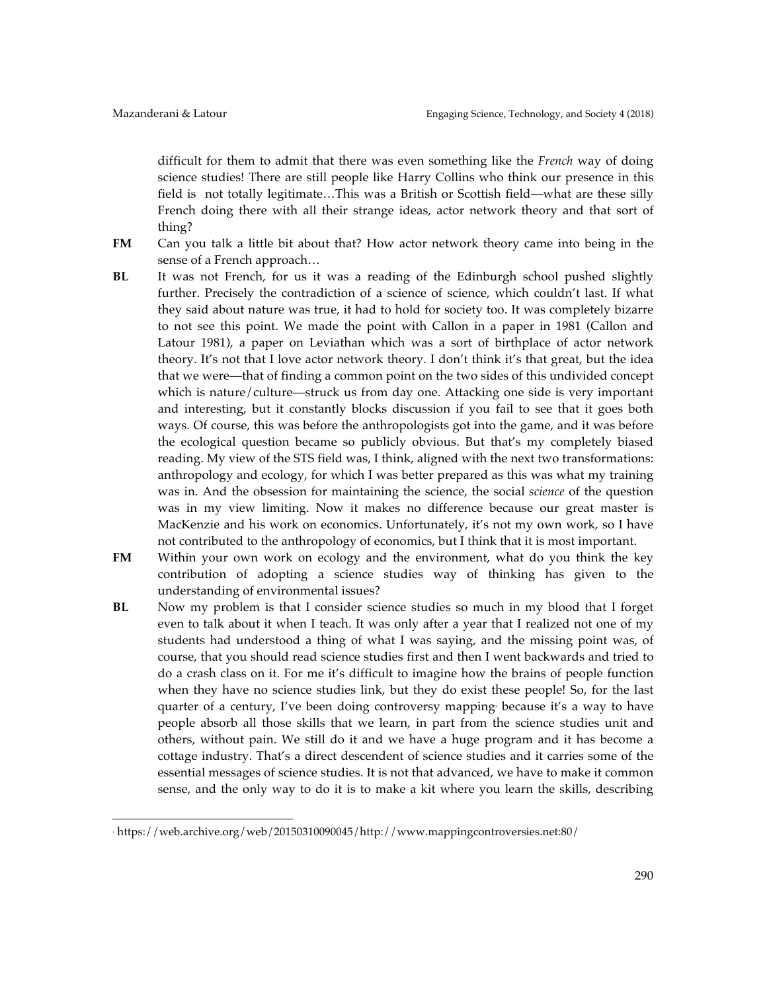difficult for them to admit that there was even something like the *French* way of doing science studies! There are still people like Harry Collins who think our presence in this field is not totally legitimate…This was a British or Scottish field––what are these silly French doing there with all their strange ideas, actor network theory and that sort of thing?

- **FM** Can you talk a little bit about that? How actor network theory came into being in the sense of a French approach…
- **BL** It was not French, for us it was a reading of the Edinburgh school pushed slightly further. Precisely the contradiction of a science of science, which couldn't last. If what they said about nature was true, it had to hold for society too. It was completely bizarre to not see this point. We made the point with Callon in a paper in 1981 (Callon and Latour 1981), a paper on Leviathan which was a sort of birthplace of actor network theory. It's not that I love actor network theory. I don't think it's that great, but the idea that we were––that of finding a common point on the two sides of this undivided concept which is nature/culture––struck us from day one. Attacking one side is very important and interesting, but it constantly blocks discussion if you fail to see that it goes both ways. Of course, this was before the anthropologists got into the game, and it was before the ecological question became so publicly obvious. But that's my completely biased reading. My view of the STS field was, I think, aligned with the next two transformations: anthropology and ecology, for which I was better prepared as this was what my training was in. And the obsession for maintaining the science, the social *science* of the question was in my view limiting. Now it makes no difference because our great master is MacKenzie and his work on economics. Unfortunately, it's not my own work, so I have not contributed to the anthropology of economics, but I think that it is most important.
- **FM** Within your own work on ecology and the environment, what do you think the key contribution of adopting a science studies way of thinking has given to the understanding of environmental issues?
- **BL** Now my problem is that I consider science studies so much in my blood that I forget even to talk about it when I teach. It was only after a year that I realized not one of my students had understood a thing of what I was saying, and the missing point was, of course, that you should read science studies first and then I went backwards and tried to do a crash class on it. For me it's difficult to imagine how the brains of people function when they have no science studies link, but they do exist these people! So, for the last quarter of a century, I've been doing controversy mapping because it's a way to have people absorb all those skills that we learn, in part from the science studies unit and others, without pain. We still do it and we have a huge program and it has become a cottage industry. That's a direct descendent of science studies and it carries some of the essential messages of science studies. It is not that advanced, we have to make it common sense, and the only way to do it is to make a kit where you learn the skills, describing

 

<sup>3</sup> https://web.archive.org/web/20150310090045/http://www.mappingcontroversies.net:80/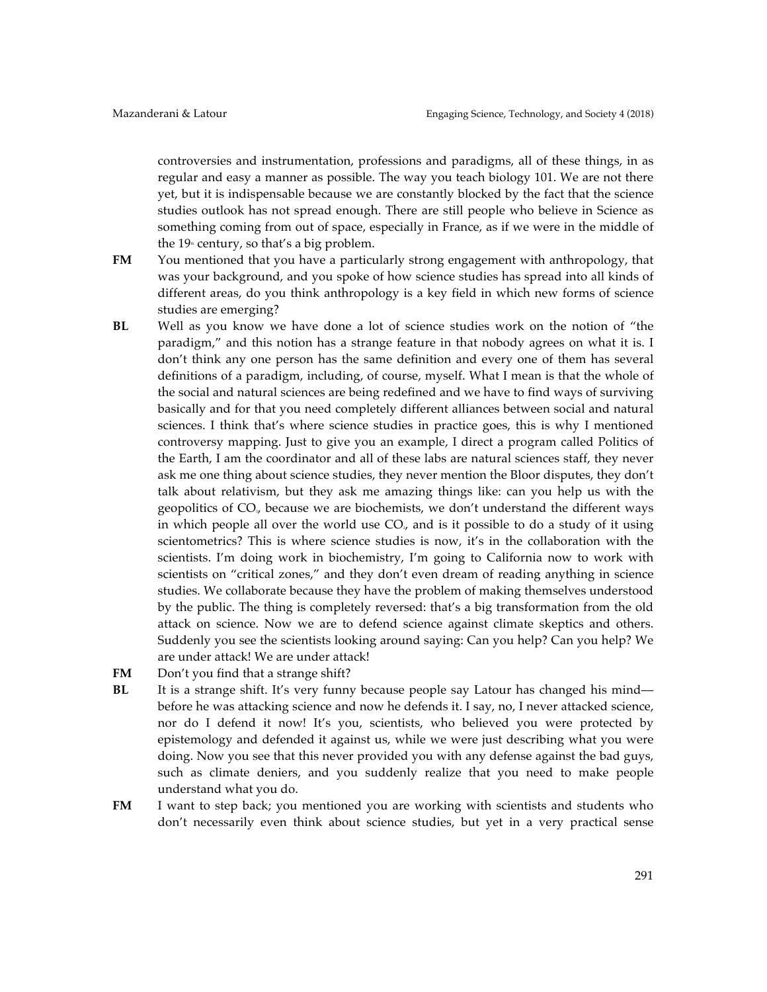controversies and instrumentation, professions and paradigms, all of these things, in as regular and easy a manner as possible. The way you teach biology 101. We are not there yet, but it is indispensable because we are constantly blocked by the fact that the science studies outlook has not spread enough. There are still people who believe in Science as something coming from out of space, especially in France, as if we were in the middle of the  $19<sup>th</sup>$  century, so that's a big problem.

- **FM** You mentioned that you have a particularly strong engagement with anthropology, that was your background, and you spoke of how science studies has spread into all kinds of different areas, do you think anthropology is a key field in which new forms of science studies are emerging?
- **BL** Well as you know we have done a lot of science studies work on the notion of "the paradigm," and this notion has a strange feature in that nobody agrees on what it is. I don't think any one person has the same definition and every one of them has several definitions of a paradigm, including, of course, myself. What I mean is that the whole of the social and natural sciences are being redefined and we have to find ways of surviving basically and for that you need completely different alliances between social and natural sciences. I think that's where science studies in practice goes, this is why I mentioned controversy mapping. Just to give you an example, I direct a program called Politics of the Earth, I am the coordinator and all of these labs are natural sciences staff, they never ask me one thing about science studies, they never mention the Bloor disputes, they don't talk about relativism, but they ask me amazing things like: can you help us with the geopolitics of CO<sub>2</sub>, because we are biochemists, we don't understand the different ways in which people all over the world use  $CO<sub>2</sub>$  and is it possible to do a study of it using scientometrics? This is where science studies is now, it's in the collaboration with the scientists. I'm doing work in biochemistry, I'm going to California now to work with scientists on "critical zones," and they don't even dream of reading anything in science studies. We collaborate because they have the problem of making themselves understood by the public. The thing is completely reversed: that's a big transformation from the old attack on science. Now we are to defend science against climate skeptics and others. Suddenly you see the scientists looking around saying: Can you help? Can you help? We are under attack! We are under attack!
- **FM** Don't you find that a strange shift?
- **BL** It is a strange shift. It's very funny because people say Latour has changed his mind before he was attacking science and now he defends it. I say, no, I never attacked science, nor do I defend it now! It's you, scientists, who believed you were protected by epistemology and defended it against us, while we were just describing what you were doing. Now you see that this never provided you with any defense against the bad guys, such as climate deniers, and you suddenly realize that you need to make people understand what you do.
- **FM** I want to step back; you mentioned you are working with scientists and students who don't necessarily even think about science studies, but yet in a very practical sense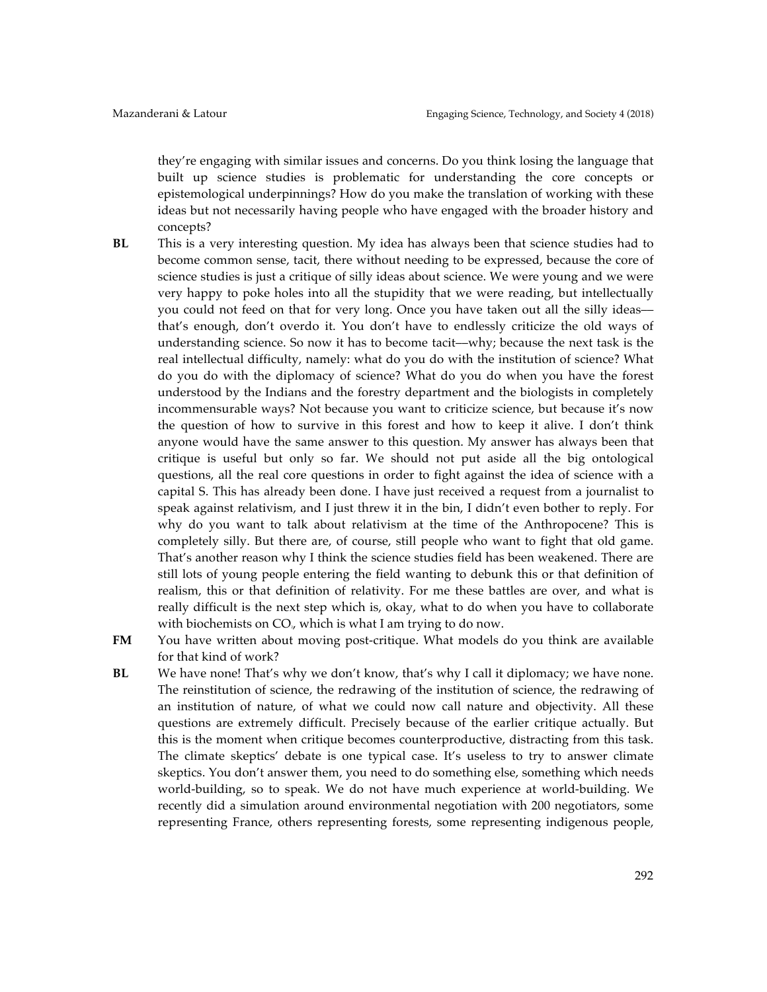they're engaging with similar issues and concerns. Do you think losing the language that built up science studies is problematic for understanding the core concepts or epistemological underpinnings? How do you make the translation of working with these ideas but not necessarily having people who have engaged with the broader history and concepts?

- **BL** This is a very interesting question. My idea has always been that science studies had to become common sense, tacit, there without needing to be expressed, because the core of science studies is just a critique of silly ideas about science. We were young and we were very happy to poke holes into all the stupidity that we were reading, but intellectually you could not feed on that for very long. Once you have taken out all the silly ideas–– that's enough, don't overdo it. You don't have to endlessly criticize the old ways of understanding science. So now it has to become tacit––why; because the next task is the real intellectual difficulty, namely: what do you do with the institution of science? What do you do with the diplomacy of science? What do you do when you have the forest understood by the Indians and the forestry department and the biologists in completely incommensurable ways? Not because you want to criticize science, but because it's now the question of how to survive in this forest and how to keep it alive. I don't think anyone would have the same answer to this question. My answer has always been that critique is useful but only so far. We should not put aside all the big ontological questions, all the real core questions in order to fight against the idea of science with a capital S. This has already been done. I have just received a request from a journalist to speak against relativism, and I just threw it in the bin, I didn't even bother to reply. For why do you want to talk about relativism at the time of the Anthropocene? This is completely silly. But there are, of course, still people who want to fight that old game. That's another reason why I think the science studies field has been weakened. There are still lots of young people entering the field wanting to debunk this or that definition of realism, this or that definition of relativity. For me these battles are over, and what is really difficult is the next step which is, okay, what to do when you have to collaborate with biochemists on CO<sub>2</sub>, which is what I am trying to do now.
- 

**FM** You have written about moving post-critique. What models do you think are available for that kind of work?

**BL** We have none! That's why we don't know, that's why I call it diplomacy; we have none. The reinstitution of science, the redrawing of the institution of science, the redrawing of an institution of nature, of what we could now call nature and objectivity. All these questions are extremely difficult. Precisely because of the earlier critique actually. But this is the moment when critique becomes counterproductive, distracting from this task. The climate skeptics' debate is one typical case. It's useless to try to answer climate skeptics. You don't answer them, you need to do something else, something which needs world-building, so to speak. We do not have much experience at world-building. We recently did a simulation around environmental negotiation with 200 negotiators, some representing France, others representing forests, some representing indigenous people,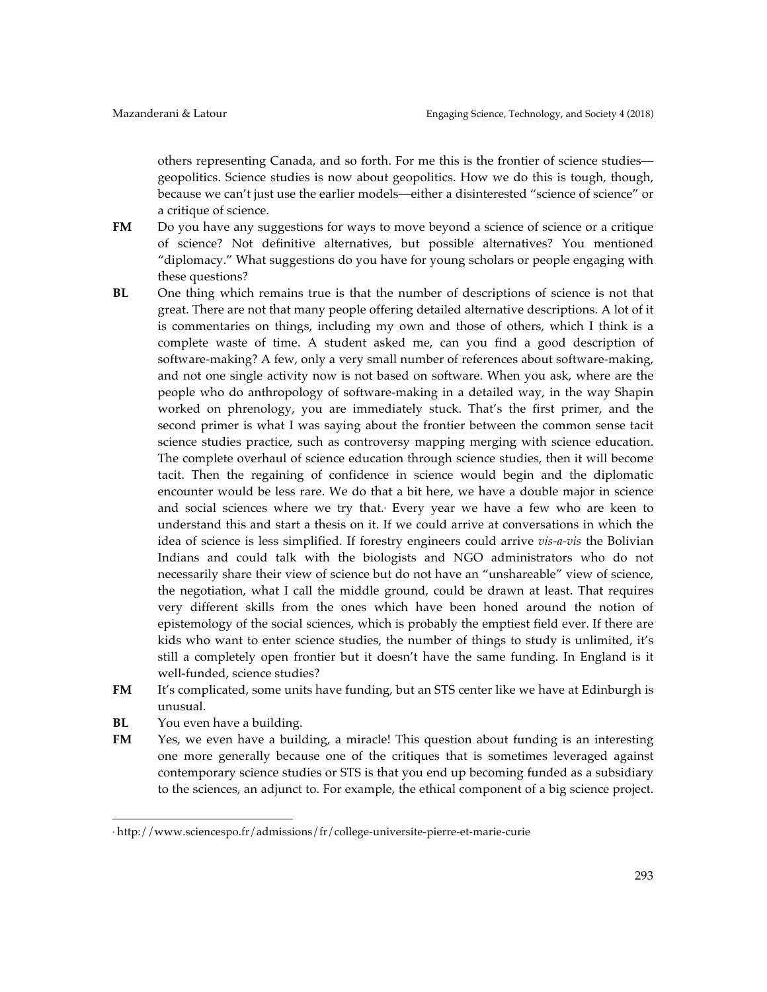others representing Canada, and so forth. For me this is the frontier of science studies–– geopolitics. Science studies is now about geopolitics. How we do this is tough, though, because we can't just use the earlier models––either a disinterested "science of science" or a critique of science.

- **FM** Do you have any suggestions for ways to move beyond a science of science or a critique of science? Not definitive alternatives, but possible alternatives? You mentioned "diplomacy." What suggestions do you have for young scholars or people engaging with these questions?
- **BL** One thing which remains true is that the number of descriptions of science is not that great. There are not that many people offering detailed alternative descriptions. A lot of it is commentaries on things, including my own and those of others, which I think is a complete waste of time. A student asked me, can you find a good description of software-making? A few, only a very small number of references about software-making, and not one single activity now is not based on software. When you ask, where are the people who do anthropology of software-making in a detailed way, in the way Shapin worked on phrenology, you are immediately stuck. That's the first primer, and the second primer is what I was saying about the frontier between the common sense tacit science studies practice, such as controversy mapping merging with science education. The complete overhaul of science education through science studies, then it will become tacit. Then the regaining of confidence in science would begin and the diplomatic encounter would be less rare. We do that a bit here, we have a double major in science and social sciences where we try that. Every year we have a few who are keen to understand this and start a thesis on it. If we could arrive at conversations in which the idea of science is less simplified. If forestry engineers could arrive *vis-a-vis* the Bolivian Indians and could talk with the biologists and NGO administrators who do not necessarily share their view of science but do not have an "unshareable" view of science, the negotiation, what I call the middle ground, could be drawn at least. That requires very different skills from the ones which have been honed around the notion of epistemology of the social sciences, which is probably the emptiest field ever. If there are kids who want to enter science studies, the number of things to study is unlimited, it's still a completely open frontier but it doesn't have the same funding. In England is it well-funded, science studies?
- **FM** It's complicated, some units have funding, but an STS center like we have at Edinburgh is unusual.
- **BL** You even have a building.

 

**FM** Yes, we even have a building, a miracle! This question about funding is an interesting one more generally because one of the critiques that is sometimes leveraged against contemporary science studies or STS is that you end up becoming funded as a subsidiary to the sciences, an adjunct to. For example, the ethical component of a big science project.

<sup>4</sup> http://www.sciencespo.fr/admissions/fr/college-universite-pierre-et-marie-curie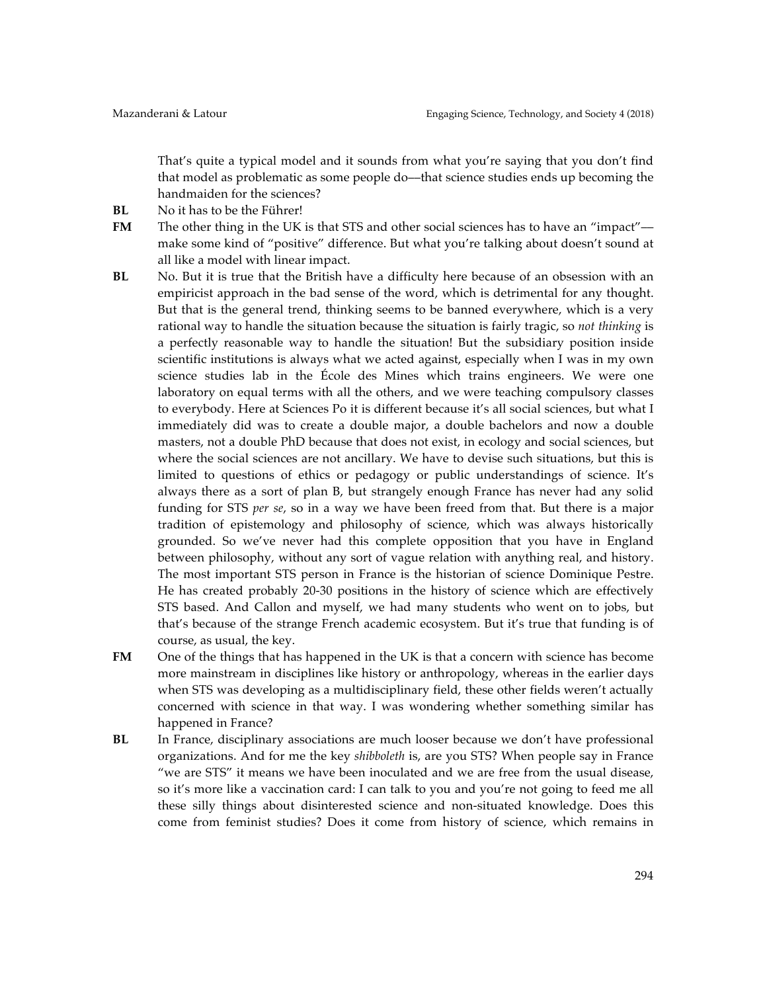That's quite a typical model and it sounds from what you're saying that you don't find that model as problematic as some people do––that science studies ends up becoming the handmaiden for the sciences?

- **BL** No it has to be the Führer!
- **FM** The other thing in the UK is that STS and other social sciences has to have an "impact"make some kind of "positive" difference. But what you're talking about doesn't sound at all like a model with linear impact.
- **BL** No. But it is true that the British have a difficulty here because of an obsession with an empiricist approach in the bad sense of the word, which is detrimental for any thought. But that is the general trend, thinking seems to be banned everywhere, which is a very rational way to handle the situation because the situation is fairly tragic, so *not thinking* is a perfectly reasonable way to handle the situation! But the subsidiary position inside scientific institutions is always what we acted against, especially when I was in my own science studies lab in the École des Mines which trains engineers. We were one laboratory on equal terms with all the others, and we were teaching compulsory classes to everybody. Here at Sciences Po it is different because it's all social sciences, but what I immediately did was to create a double major, a double bachelors and now a double masters, not a double PhD because that does not exist, in ecology and social sciences, but where the social sciences are not ancillary. We have to devise such situations, but this is limited to questions of ethics or pedagogy or public understandings of science. It's always there as a sort of plan B, but strangely enough France has never had any solid funding for STS *per se*, so in a way we have been freed from that. But there is a major tradition of epistemology and philosophy of science, which was always historically grounded. So we've never had this complete opposition that you have in England between philosophy, without any sort of vague relation with anything real, and history. The most important STS person in France is the historian of science Dominique Pestre. He has created probably 20-30 positions in the history of science which are effectively STS based. And Callon and myself, we had many students who went on to jobs, but that's because of the strange French academic ecosystem. But it's true that funding is of course, as usual, the key.
- **FM** One of the things that has happened in the UK is that a concern with science has become more mainstream in disciplines like history or anthropology, whereas in the earlier days when STS was developing as a multidisciplinary field, these other fields weren't actually concerned with science in that way. I was wondering whether something similar has happened in France?
- **BL** In France, disciplinary associations are much looser because we don't have professional organizations. And for me the key *shibboleth* is, are you STS? When people say in France "we are STS" it means we have been inoculated and we are free from the usual disease, so it's more like a vaccination card: I can talk to you and you're not going to feed me all these silly things about disinterested science and non-situated knowledge. Does this come from feminist studies? Does it come from history of science, which remains in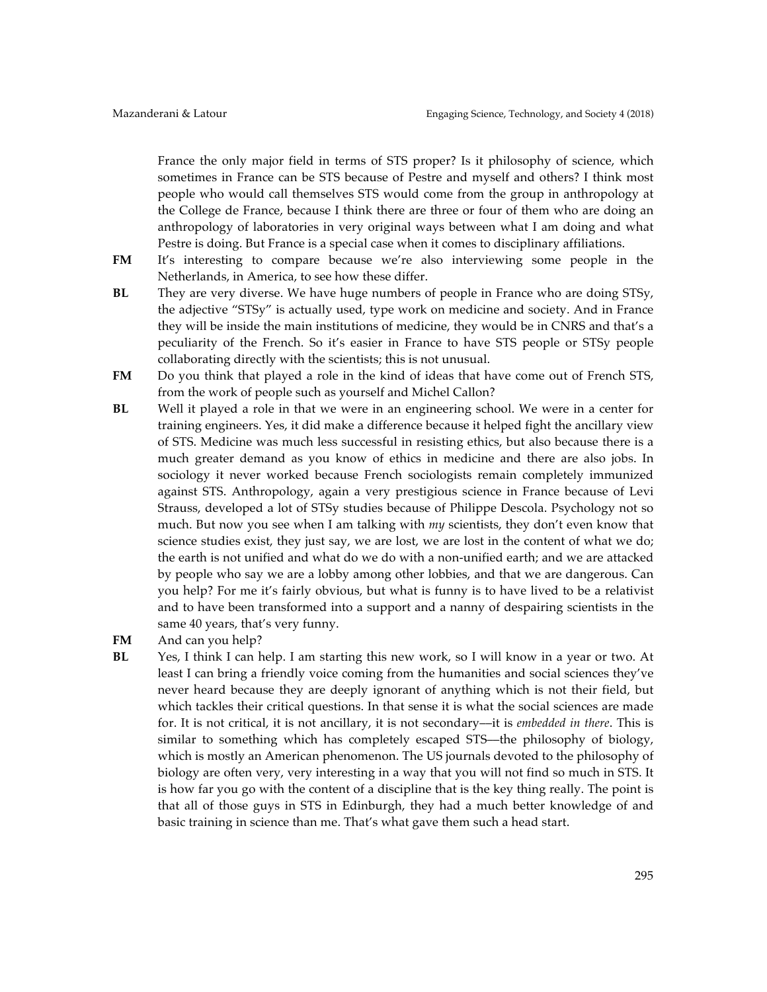France the only major field in terms of STS proper? Is it philosophy of science, which sometimes in France can be STS because of Pestre and myself and others? I think most people who would call themselves STS would come from the group in anthropology at the College de France, because I think there are three or four of them who are doing an anthropology of laboratories in very original ways between what I am doing and what Pestre is doing. But France is a special case when it comes to disciplinary affiliations.

- **FM** It's interesting to compare because we're also interviewing some people in the Netherlands, in America, to see how these differ.
- **BL** They are very diverse. We have huge numbers of people in France who are doing STSy, the adjective "STSy" is actually used, type work on medicine and society. And in France they will be inside the main institutions of medicine, they would be in CNRS and that's a peculiarity of the French. So it's easier in France to have STS people or STSy people collaborating directly with the scientists; this is not unusual.
- **FM** Do you think that played a role in the kind of ideas that have come out of French STS, from the work of people such as yourself and Michel Callon?
- **BL** Well it played a role in that we were in an engineering school. We were in a center for training engineers. Yes, it did make a difference because it helped fight the ancillary view of STS. Medicine was much less successful in resisting ethics, but also because there is a much greater demand as you know of ethics in medicine and there are also jobs. In sociology it never worked because French sociologists remain completely immunized against STS. Anthropology, again a very prestigious science in France because of Levi Strauss, developed a lot of STSy studies because of Philippe Descola. Psychology not so much. But now you see when I am talking with *my* scientists, they don't even know that science studies exist, they just say, we are lost, we are lost in the content of what we do; the earth is not unified and what do we do with a non-unified earth; and we are attacked by people who say we are a lobby among other lobbies, and that we are dangerous. Can you help? For me it's fairly obvious, but what is funny is to have lived to be a relativist and to have been transformed into a support and a nanny of despairing scientists in the same 40 years, that's very funny.
- **FM** And can you help?
- **BL** Yes, I think I can help. I am starting this new work, so I will know in a year or two. At least I can bring a friendly voice coming from the humanities and social sciences they've never heard because they are deeply ignorant of anything which is not their field, but which tackles their critical questions. In that sense it is what the social sciences are made for. It is not critical, it is not ancillary, it is not secondary––it is *embedded in there*. This is similar to something which has completely escaped STS––the philosophy of biology, which is mostly an American phenomenon. The US journals devoted to the philosophy of biology are often very, very interesting in a way that you will not find so much in STS. It is how far you go with the content of a discipline that is the key thing really. The point is that all of those guys in STS in Edinburgh, they had a much better knowledge of and basic training in science than me. That's what gave them such a head start.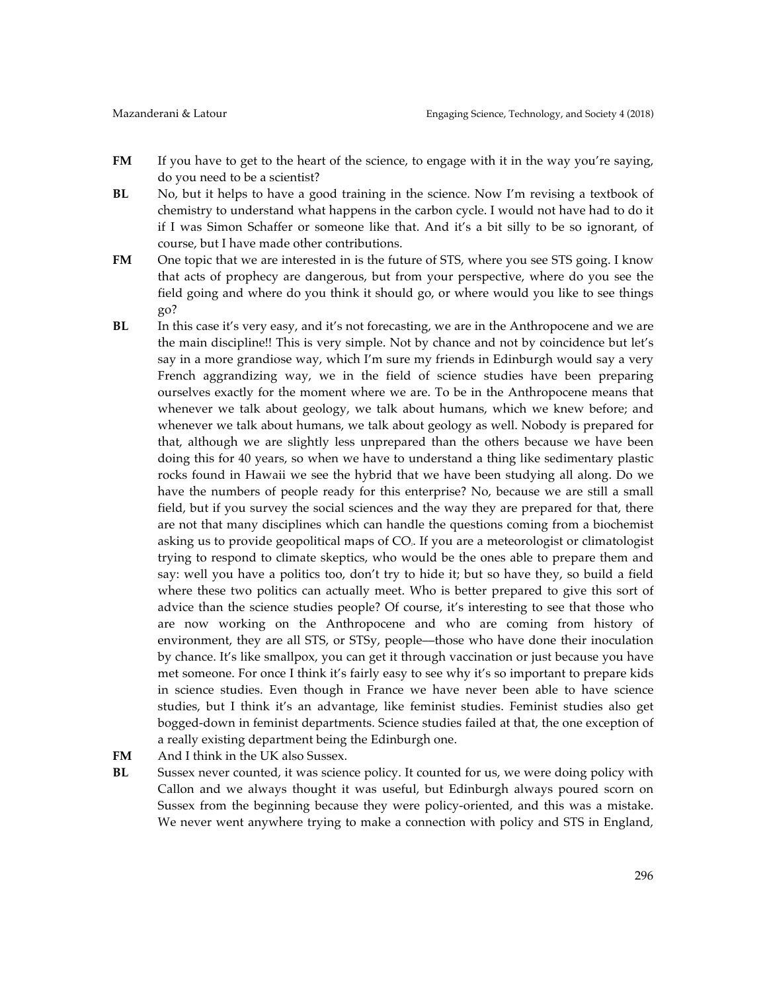- **FM** If you have to get to the heart of the science, to engage with it in the way you're saying, do you need to be a scientist?
- **BL** No, but it helps to have a good training in the science. Now I'm revising a textbook of chemistry to understand what happens in the carbon cycle. I would not have had to do it if I was Simon Schaffer or someone like that. And it's a bit silly to be so ignorant, of course, but I have made other contributions.
- **FM** One topic that we are interested in is the future of STS, where you see STS going. I know that acts of prophecy are dangerous, but from your perspective, where do you see the field going and where do you think it should go, or where would you like to see things go?
- **BL** In this case it's very easy, and it's not forecasting, we are in the Anthropocene and we are the main discipline!! This is very simple. Not by chance and not by coincidence but let's say in a more grandiose way, which I'm sure my friends in Edinburgh would say a very French aggrandizing way, we in the field of science studies have been preparing ourselves exactly for the moment where we are. To be in the Anthropocene means that whenever we talk about geology, we talk about humans, which we knew before; and whenever we talk about humans, we talk about geology as well. Nobody is prepared for that, although we are slightly less unprepared than the others because we have been doing this for 40 years, so when we have to understand a thing like sedimentary plastic rocks found in Hawaii we see the hybrid that we have been studying all along. Do we have the numbers of people ready for this enterprise? No, because we are still a small field, but if you survey the social sciences and the way they are prepared for that, there are not that many disciplines which can handle the questions coming from a biochemist asking us to provide geopolitical maps of CO<sub>i</sub>. If you are a meteorologist or climatologist trying to respond to climate skeptics, who would be the ones able to prepare them and say: well you have a politics too, don't try to hide it; but so have they, so build a field where these two politics can actually meet. Who is better prepared to give this sort of advice than the science studies people? Of course, it's interesting to see that those who are now working on the Anthropocene and who are coming from history of environment, they are all STS, or STSy, people––those who have done their inoculation by chance. It's like smallpox, you can get it through vaccination or just because you have met someone. For once I think it's fairly easy to see why it's so important to prepare kids in science studies. Even though in France we have never been able to have science studies, but I think it's an advantage, like feminist studies. Feminist studies also get bogged-down in feminist departments. Science studies failed at that, the one exception of a really existing department being the Edinburgh one.
- FM And I think in the UK also Sussex.
- **BL** Sussex never counted, it was science policy. It counted for us, we were doing policy with Callon and we always thought it was useful, but Edinburgh always poured scorn on Sussex from the beginning because they were policy-oriented, and this was a mistake. We never went anywhere trying to make a connection with policy and STS in England,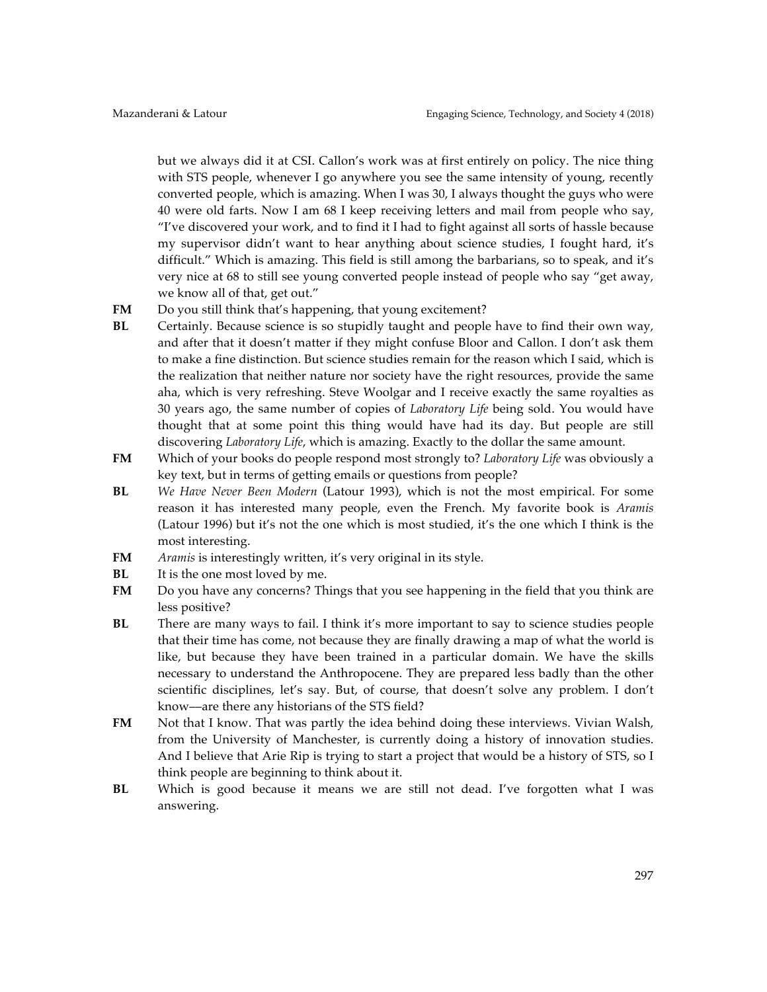but we always did it at CSI. Callon's work was at first entirely on policy. The nice thing with STS people, whenever I go anywhere you see the same intensity of young, recently converted people, which is amazing. When I was 30, I always thought the guys who were 40 were old farts. Now I am 68 I keep receiving letters and mail from people who say, "I've discovered your work, and to find it I had to fight against all sorts of hassle because my supervisor didn't want to hear anything about science studies, I fought hard, it's difficult." Which is amazing. This field is still among the barbarians, so to speak, and it's very nice at 68 to still see young converted people instead of people who say "get away, we know all of that, get out."

- **FM** Do you still think that's happening, that young excitement?
- **BL** Certainly. Because science is so stupidly taught and people have to find their own way, and after that it doesn't matter if they might confuse Bloor and Callon. I don't ask them to make a fine distinction. But science studies remain for the reason which I said, which is the realization that neither nature nor society have the right resources, provide the same aha, which is very refreshing. Steve Woolgar and I receive exactly the same royalties as 30 years ago, the same number of copies of *Laboratory Life* being sold. You would have thought that at some point this thing would have had its day. But people are still discovering *Laboratory Life*, which is amazing. Exactly to the dollar the same amount.
- **FM** Which of your books do people respond most strongly to? *Laboratory Life* was obviously a key text, but in terms of getting emails or questions from people?
- **BL** *We Have Never Been Modern* (Latour 1993), which is not the most empirical. For some reason it has interested many people, even the French. My favorite book is *Aramis* (Latour 1996) but it's not the one which is most studied, it's the one which I think is the most interesting.
- **FM** *Aramis* is interestingly written, it's very original in its style.
- **BL** It is the one most loved by me.
- **FM** Do you have any concerns? Things that you see happening in the field that you think are less positive?
- **BL** There are many ways to fail. I think it's more important to say to science studies people that their time has come, not because they are finally drawing a map of what the world is like, but because they have been trained in a particular domain. We have the skills necessary to understand the Anthropocene. They are prepared less badly than the other scientific disciplines, let's say. But, of course, that doesn't solve any problem. I don't know––are there any historians of the STS field?
- **FM** Not that I know. That was partly the idea behind doing these interviews. Vivian Walsh, from the University of Manchester, is currently doing a history of innovation studies. And I believe that Arie Rip is trying to start a project that would be a history of STS, so I think people are beginning to think about it.
- **BL** Which is good because it means we are still not dead. I've forgotten what I was answering.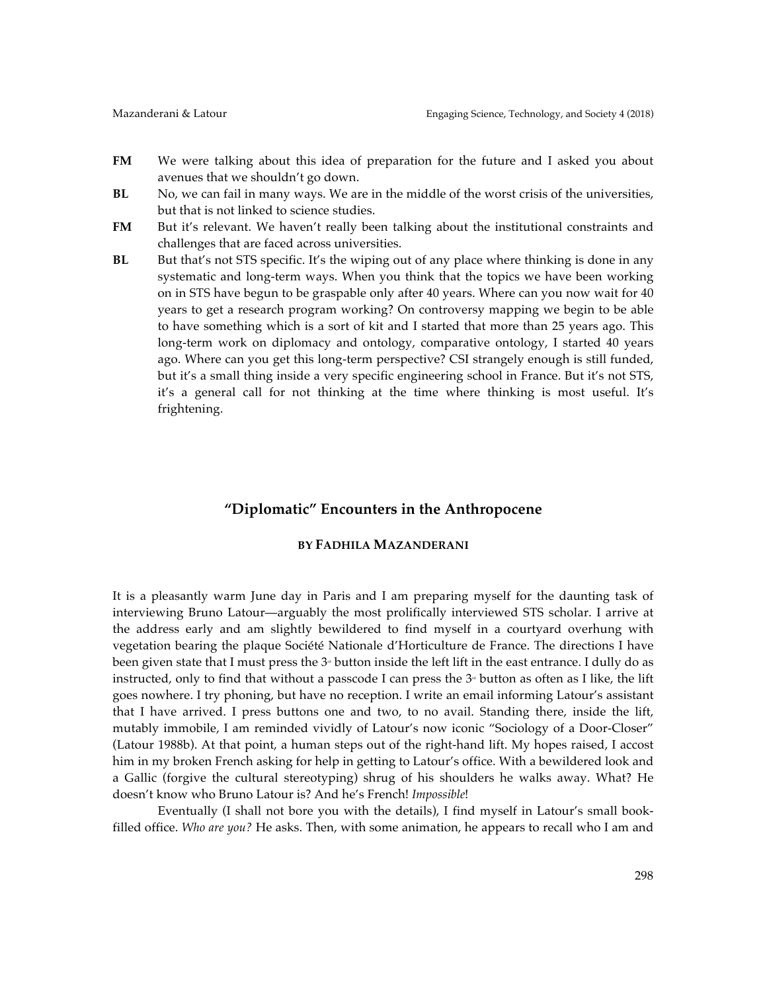- **FM** We were talking about this idea of preparation for the future and I asked you about avenues that we shouldn't go down.
- **BL** No, we can fail in many ways. We are in the middle of the worst crisis of the universities, but that is not linked to science studies.
- **FM** But it's relevant. We haven't really been talking about the institutional constraints and challenges that are faced across universities.
- **BL** But that's not STS specific. It's the wiping out of any place where thinking is done in any systematic and long-term ways. When you think that the topics we have been working on in STS have begun to be graspable only after 40 years. Where can you now wait for 40 years to get a research program working? On controversy mapping we begin to be able to have something which is a sort of kit and I started that more than 25 years ago. This long-term work on diplomacy and ontology, comparative ontology, I started 40 years ago. Where can you get this long-term perspective? CSI strangely enough is still funded, but it's a small thing inside a very specific engineering school in France. But it's not STS, it's a general call for not thinking at the time where thinking is most useful. It's frightening.

# **"Diplomatic" Encounters in the Anthropocene**

# **BY FADHILA MAZANDERANI**

It is a pleasantly warm June day in Paris and I am preparing myself for the daunting task of interviewing Bruno Latour––arguably the most prolifically interviewed STS scholar. I arrive at the address early and am slightly bewildered to find myself in a courtyard overhung with vegetation bearing the plaque Société Nationale d'Horticulture de France. The directions I have been given state that I must press the  $3<sup>a</sup>$  button inside the left lift in the east entrance. I dully do as instructed, only to find that without a passcode I can press the  $3<sup>*</sup>$  button as often as I like, the lift goes nowhere. I try phoning, but have no reception. I write an email informing Latour's assistant that I have arrived. I press buttons one and two, to no avail. Standing there, inside the lift, mutably immobile, I am reminded vividly of Latour's now iconic "Sociology of a Door-Closer" (Latour 1988b). At that point, a human steps out of the right-hand lift. My hopes raised, I accost him in my broken French asking for help in getting to Latour's office. With a bewildered look and a Gallic (forgive the cultural stereotyping) shrug of his shoulders he walks away. What? He doesn't know who Bruno Latour is? And he's French! *Impossible*!

Eventually (I shall not bore you with the details), I find myself in Latour's small bookfilled office. *Who are you?* He asks. Then, with some animation, he appears to recall who I am and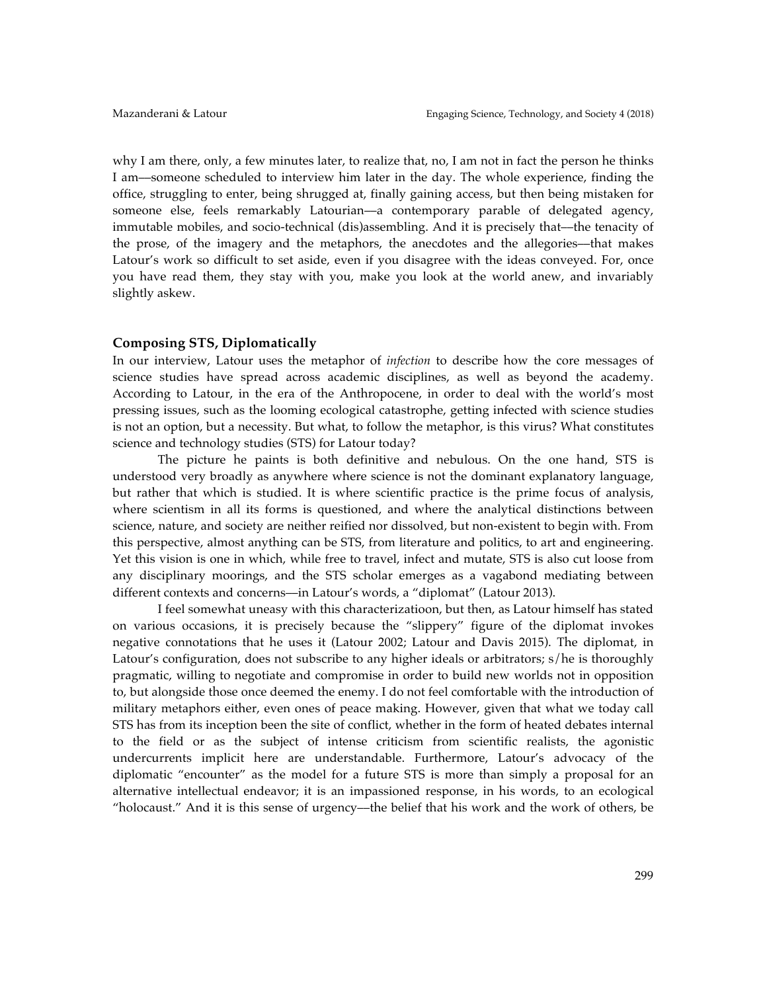why I am there, only, a few minutes later, to realize that, no, I am not in fact the person he thinks I am––someone scheduled to interview him later in the day. The whole experience, finding the office, struggling to enter, being shrugged at, finally gaining access, but then being mistaken for someone else, feels remarkably Latourian—a contemporary parable of delegated agency, immutable mobiles, and socio-technical (dis)assembling. And it is precisely that––the tenacity of the prose, of the imagery and the metaphors, the anecdotes and the allegories––that makes Latour's work so difficult to set aside, even if you disagree with the ideas conveyed. For, once you have read them, they stay with you, make you look at the world anew, and invariably slightly askew.

#### **Composing STS, Diplomatically**

In our interview, Latour uses the metaphor of *infection* to describe how the core messages of science studies have spread across academic disciplines, as well as beyond the academy. According to Latour, in the era of the Anthropocene, in order to deal with the world's most pressing issues, such as the looming ecological catastrophe, getting infected with science studies is not an option, but a necessity. But what, to follow the metaphor, is this virus? What constitutes science and technology studies (STS) for Latour today?

The picture he paints is both definitive and nebulous. On the one hand, STS is understood very broadly as anywhere where science is not the dominant explanatory language, but rather that which is studied. It is where scientific practice is the prime focus of analysis, where scientism in all its forms is questioned, and where the analytical distinctions between science, nature, and society are neither reified nor dissolved, but non-existent to begin with. From this perspective, almost anything can be STS, from literature and politics, to art and engineering. Yet this vision is one in which, while free to travel, infect and mutate, STS is also cut loose from any disciplinary moorings, and the STS scholar emerges as a vagabond mediating between different contexts and concerns––in Latour's words, a "diplomat" (Latour 2013).

I feel somewhat uneasy with this characterizatioon, but then, as Latour himself has stated on various occasions, it is precisely because the "slippery" figure of the diplomat invokes negative connotations that he uses it (Latour 2002; Latour and Davis 2015). The diplomat, in Latour's configuration, does not subscribe to any higher ideals or arbitrators; s/he is thoroughly pragmatic, willing to negotiate and compromise in order to build new worlds not in opposition to, but alongside those once deemed the enemy. I do not feel comfortable with the introduction of military metaphors either, even ones of peace making. However, given that what we today call STS has from its inception been the site of conflict, whether in the form of heated debates internal to the field or as the subject of intense criticism from scientific realists, the agonistic undercurrents implicit here are understandable. Furthermore, Latour's advocacy of the diplomatic "encounter" as the model for a future STS is more than simply a proposal for an alternative intellectual endeavor; it is an impassioned response, in his words, to an ecological "holocaust." And it is this sense of urgency––the belief that his work and the work of others, be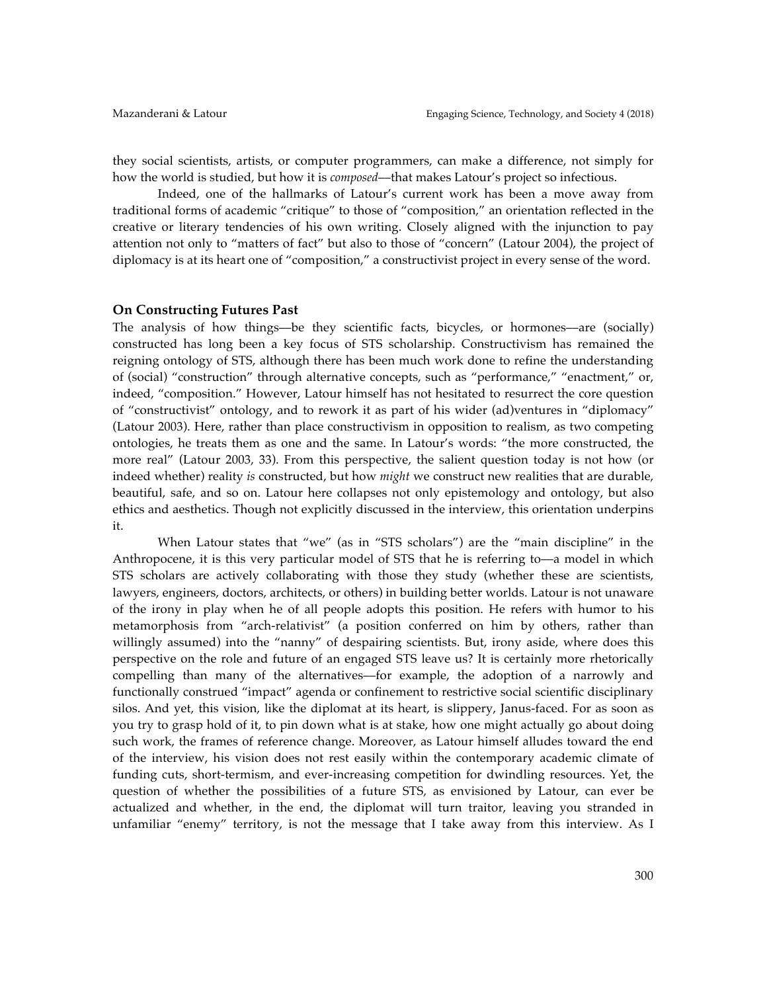they social scientists, artists, or computer programmers, can make a difference, not simply for how the world is studied, but how it is *composed*––that makes Latour's project so infectious.

Indeed, one of the hallmarks of Latour's current work has been a move away from traditional forms of academic "critique" to those of "composition," an orientation reflected in the creative or literary tendencies of his own writing. Closely aligned with the injunction to pay attention not only to "matters of fact" but also to those of "concern" (Latour 2004), the project of diplomacy is at its heart one of "composition," a constructivist project in every sense of the word.

#### **On Constructing Futures Past**

The analysis of how things––be they scientific facts, bicycles, or hormones––are (socially) constructed has long been a key focus of STS scholarship. Constructivism has remained the reigning ontology of STS, although there has been much work done to refine the understanding of (social) "construction" through alternative concepts, such as "performance," "enactment," or, indeed, "composition." However, Latour himself has not hesitated to resurrect the core question of "constructivist" ontology, and to rework it as part of his wider (ad)ventures in "diplomacy" (Latour 2003). Here, rather than place constructivism in opposition to realism, as two competing ontologies, he treats them as one and the same. In Latour's words: "the more constructed, the more real" (Latour 2003, 33). From this perspective, the salient question today is not how (or indeed whether) reality *is* constructed, but how *might* we construct new realities that are durable, beautiful, safe, and so on. Latour here collapses not only epistemology and ontology, but also ethics and aesthetics. Though not explicitly discussed in the interview, this orientation underpins it.

When Latour states that "we" (as in "STS scholars") are the "main discipline" in the Anthropocene, it is this very particular model of STS that he is referring to––a model in which STS scholars are actively collaborating with those they study (whether these are scientists, lawyers, engineers, doctors, architects, or others) in building better worlds. Latour is not unaware of the irony in play when he of all people adopts this position. He refers with humor to his metamorphosis from "arch-relativist" (a position conferred on him by others, rather than willingly assumed) into the "nanny" of despairing scientists. But, irony aside, where does this perspective on the role and future of an engaged STS leave us? It is certainly more rhetorically compelling than many of the alternatives––for example, the adoption of a narrowly and functionally construed "impact" agenda or confinement to restrictive social scientific disciplinary silos. And yet, this vision, like the diplomat at its heart, is slippery, Janus-faced. For as soon as you try to grasp hold of it, to pin down what is at stake, how one might actually go about doing such work, the frames of reference change. Moreover, as Latour himself alludes toward the end of the interview, his vision does not rest easily within the contemporary academic climate of funding cuts, short-termism, and ever-increasing competition for dwindling resources. Yet, the question of whether the possibilities of a future STS, as envisioned by Latour, can ever be actualized and whether, in the end, the diplomat will turn traitor, leaving you stranded in unfamiliar "enemy" territory, is not the message that I take away from this interview. As I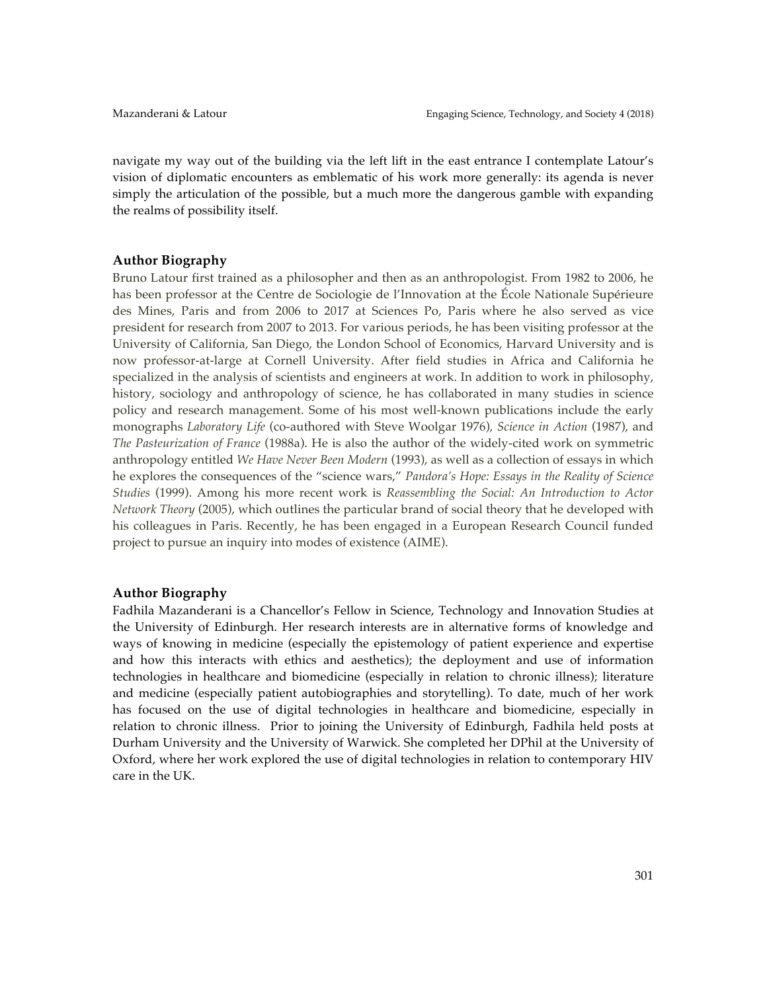navigate my way out of the building via the left lift in the east entrance I contemplate Latour's vision of diplomatic encounters as emblematic of his work more generally: its agenda is never simply the articulation of the possible, but a much more the dangerous gamble with expanding the realms of possibility itself.

# **Author Biography**

Bruno Latour first trained as a philosopher and then as an anthropologist. From 1982 to 2006, he has been professor at the Centre de Sociologie de l'Innovation at the École Nationale Supérieure des Mines, Paris and from 2006 to 2017 at Sciences Po, Paris where he also served as vice president for research from 2007 to 2013. For various periods, he has been visiting professor at the University of California, San Diego, the London School of Economics, Harvard University and is now professor-at-large at Cornell University. After field studies in Africa and California he specialized in the analysis of scientists and engineers at work. In addition to work in philosophy, history, sociology and anthropology of science, he has collaborated in many studies in science policy and research management. Some of his most well-known publications include the early monographs *Laboratory Life* (co-authored with Steve Woolgar 1976), *Science in Action* (1987), and *The Pasteurization of France* (1988a). He is also the author of the widely-cited work on symmetric anthropology entitled *We Have Never Been Modern* (1993), as well as a collection of essays in which he explores the consequences of the "science wars," *Pandora's Hope: Essays in the Reality of Science Studies* (1999). Among his more recent work is *Reassembling the Social: An Introduction to Actor Network Theory* (2005), which outlines the particular brand of social theory that he developed with his colleagues in Paris. Recently, he has been engaged in a European Research Council funded project to pursue an inquiry into modes of existence (AIME).

# **Author Biography**

Fadhila Mazanderani is a Chancellor's Fellow in Science, Technology and Innovation Studies at the University of Edinburgh. Her research interests are in alternative forms of knowledge and ways of knowing in medicine (especially the epistemology of patient experience and expertise and how this interacts with ethics and aesthetics); the deployment and use of information technologies in healthcare and biomedicine (especially in relation to chronic illness); literature and medicine (especially patient autobiographies and storytelling). To date, much of her work has focused on the use of digital technologies in healthcare and biomedicine, especially in relation to chronic illness. Prior to joining the University of Edinburgh, Fadhila held posts at Durham University and the University of Warwick. She completed her DPhil at the University of Oxford, where her work explored the use of digital technologies in relation to contemporary HIV care in the UK.